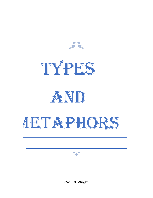普遍





**Cecil N. Wright**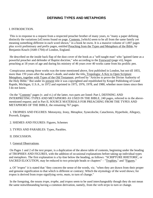# **DEFINING TYPES AND METAPHORS**

### I. INTRODICTION.

This is in response to a request from a respected preacher brother of many years, to "many a paper defining distinctly the variations [of] terms found on page, Contents, [which] seem to be all from the same family yet meaning something different in each word shown," in a book he owns. It is a massive volume of 1,007 pages plus xxviii preliminary and prefix pages, entitled Preaching from the Types and Metaphors of the Bible, by Benjamin Keach (1640-1704) of London, England.

He described on the inside back flap of the dust cover of the book as a "self-taught man" who "gained fame as a powerful preacher and defender of Baptist doctrine," who according to the Foreword (page vii), began preaching at 18 years of age and during his ministry of 46 years over 40 works came from his prolific pen.

Conspicuous among those works was the tome mentioned above, first published in London, but not till 1855, more than 150 years after the author's death, and under the title, Tropologia: A Key to Open Scripture Metaphors, together with Types of the Old Testament, prefixed by "Articles to prove the Divine Authority of the Holy Bible." But under its present title it was copyrighted and republished by Kregel Publishing of Grand Rapids, Michigan, U.S.A., in 1972 and reprinted in 1975, 1976, 1978, and 1980, whether more times since then I do not know.

On the "Contents" pages (v. and vi.) of the latter, two parts are listed: Part I, DEFINING AND INTERPRETING TYPES AND METAPHORS AS USED IN THE BIBLE, 240 pages, referred to in the abovementioned request; and in Part II, SOURCE MATERIALS FOR PREACHING FROM THE TYPES AND METAPHORS OF THE BIBLE, the remaining 767 pages.

1. TROPHES AND FIGURES: Metonymy, Irony, Metaphor, Synecdoche, Catachresis, Hyperbole, Allegory, Proverb, Enigma.

- 2. SHEMES AND FIGURES: Figures, Schemes
- 3. TYPES AND PARABLES: Types, Parables.
- II. DISCUSSION.
- 1. General Observations.

On Pages 1 and 2 of the text proper, is a duplication of the above table of contents, beginning under the heading of TROPHIES AND FIGURES, with the addition of occasional explanations before taking up individual types and metaphors. The first explanation is a by-line below the heading, as follows: "SCRIPTURE RHETORIC, or SACRED ELOCUTION, may be reduced to two principle heads or chapters" – "Trophies," and "Figures."

a. Of "*tropes*" it is stated that "they concern the sense of the words, viz. "when they are drawn from their proper and genuine signification to that which is different or contrary; Which the etymology of the word shows; for *tropos* is derived from *trepo* signifying *verto*, *muto*, to turn of change."

In the foregoing, the nouns *trope*, *trophe*, and *tropos* seem to be used interchangeably though they do not mean the same notwithstanding having a common derivation, namely, from the verb *terpo* to turn or change.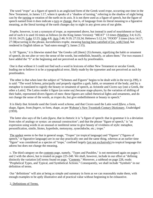The word "*trope*" as a figure of speech is an anglicised form of the Greek word *trope*, occurring one time in the New Testament, in James 1:17, where it speaks of a "shadow of turning," referring to the shadow of night being cast by the turning or rotation of the earth on its axis. It is not there used as a figure of speech, but the figure of speech named from it does indicate a turn or change, that is, of language from its literal meaning to a figurative meaning, as the literal turning of the earth changes day to night in any given area of our globe.

*Trophe*, however, is not a synonym of *trope*, as represented above, but instead is used of nourishment or food, and of such it is used 16 times as follows (in the King James Version): "MEAT" 13 times (Matthew 3:4; 6:25; 10:10; 24:25; Luke 12:23; John 4:8; Acts 2:46; 9:19; 27:33,34; Hebrews 5:12,14; "FOOD" 3 times (Acts 14:17; 27:38(occurring in the phrase, *koresthentes trophe*, meaning having been satisfied of [or, with] food, but rendered in English idiom as "had eaten enough"); James 2:15).

b. Of "figures," it is likewise stated that "the Greeks call [them] {*S*}*chemata*, signifying the habit or ornament of speech, do not alter or very the sense of the words, but embellish, beautify, or adorn them." For two reasons I have added the "S" at the beginning and not perceived as such by proofreaders.

One is that without it I could not find such a word in lexicons of either New Testament or secular Greek, leading me to believe it to be a typographical error, likely made by the typesetter and not perceived as such by proofreaders.

The other is that when later the subject of "Schemes and Figures" begins to be dealt with in the text (p.199), it is said: "The word *Schema*, principally and properly signifies a garb, habit, or ornament of the body; and by a metaphor is translated to signify the beauty or ornament of speech, as Aristotle and Cicero say [one a Greek, the other a Latin]. The Latins render it figure (as some say) because stage-players, by the variation of shifting of their habit, represented divers figures of men: these figures are called rhetorical lights and ornaments, and do not change the sense of the words, as *tropes* do, but give embellishment or beauty to speech."

It is likely that Aristotle used the Greek word *schema*, and that Cicero used the Latin word *fifura*, a form, shape, figure, from *fingere*, to form, shape, as per Webster's New Twentieth Century Dictionary, Unabridged (1959).

The latter also says of the Latin *figura*, that in rhetoric it is "a figure of speech: that in grammar it is a deviation from rules of analogy or syntax: an unusual construction"; and that the phrase "figure of speech," is "an expression using words in an unusual or nonliteral sense to give beauty of vividness of style: metaphor, personification, simile, litotes, hyperbole, metonymy, synechdoche, etc.; trope."

The upshot seems to be that in general usage, "Tropes" (or tropical language) and "Figures" ("figures of speech," or figurative language) are in our day practically one and the same thing, whereas at an earlier time "figure" was considered as a species of "trope," confined largely (yet not exclusively) to tropical language that adorns but does not change the meaning.

c. The third category on the contents page, namely, "Types and Parables," is not mentioned again on pages 1 and 2 with the above, but is treated on pages 225-240. We shall, however, include in our effort at "defining distinctly the variation [of] terms found on page, "Contents." Moreover, a subhead on page 228, reads: "Prophetical Types, and Typical, and Symbolical Actions." Consequently, we shall include "Symbols" in our definition of terms.

Our "definitions" will aim at being as simple and summary in form as we can reasonably make them, with enough examples to be aptly illustrative and of practical value without beginning to be exhaustive.

#### 2. Definitions of Terms.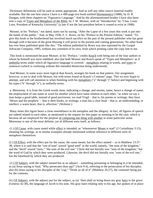Dictionary definitions will be used as seems appropriate. And so will any other source material readily available. But the one best source I have is a 400-page text book entitled Hermeneutics (1888), by D. R. Dungan, with three chapters on "Figurative Language." And by the aforementioned brother I have also been sent a copy of Types and Metaphors of the Bible, by J. W. Monser, with an "Introduction" by "Chas. Louis Loos, President of Kentucky University" (a late if not the last president before it ceased to exist in 1908).

Mosner, in his "Preface," not dated, starts out by saying, "After the Lapse of a few years this work is put into the hands of the public." And, in May 1936, F. L. Rowe, on his "Preface to the Present Edition," stated: "To give this book to the brotherhood has involved much sacrifice on the part of the present publisher who has gone through with it because of the great blessing it will prove to the present and coming generations. No other book has ever been published quite like this." The edition published by Rowe was also reprinted by the Gospel Advocate Company, 1995, without any comment of its own, from which printing came the copy lent to me.

This book is mentioned because Monser, in his "Preface," credits Keach with being one of the four authors to whom he himself was most indebted; also that both Monser and Keach speak of "Types and Metaphors" as if umbrella terms under which all figurative language is covered – metaphors relating to words, and types to sentences (which is confusing without this intended distinction being understood).

And Monser, in some ways more logical than Keach, arranges his book on that pattern. Our assignment however, is not to deal with Monser, but with terms found on Keach's Contents" page. This we now begin to attempt, and will call attention to when finishing with his metaphors ("a" through "j" below) and beginning with his types ("k" through "n"), as umbrella terms.

a. *Metonomy*. It is from the Greek words *meta*, indicating a change, and *onoma*, name, hence a change of name; the employment of one name or word for another which have some relation to each other, "as when we say a man keeps a good table, instead of good provisions; we read Virgil – that is, his poems or writings; they have 'Moses and the prophets' – that is their books, or writings; a man has a clear head – that is, an understanding, or intellect; a warm heart, that is, affection." (Webster.)

Many times this figure bears a close resemblance to the metaphor and the allegory. In fact, all figures of speech are indeed related to each other, as mentioned in the request for this paper as seeming to be the case, which is because all are employed for the purpose of comparing one thing with another in some particular sense. *Metonomy* is one of the most definite, yet of different sorts itself, as follows:

(1.) Of Cause, with cause stated while effect is intended, as "whensoever Moses is read" (2 Corinthians 3:15), meaning his writings, as in similar examples already mentioned without reference to different sorts of metaphors themselves:

(2.) Of Effect, with the effect put for the cause; the cause meant, but the effect named -- as in Matthew 13:37- 38, where it is said that the "son of man" sowed "good seed" in the world, namely, "the sons of the kingdom," and the "devil" sowed "tares," "the sons of the evil one." Christ did not literally sow "sons of the kingdom," but the word of God by which they were produced. Likewise, the devil did not literally sow "sons of the evil one," but the falsehood by which they are produced.

(3.) Of Subject, with the subject named but as an adjunct – something pertaining or belonging to it be intended, as (a) Jesus saying to Saul, "Why persecutes thou me?" (Acts 9:4), referring to the persecution of his disciples; also (b) Jesus saying to his disciples of the "cup," "Drink ye all of it" (Matthew 26:27), the container being put for the contents;

(4.) Of Adjunct, with the adjunct put for the subject, as (a) "then shall ye bring down my gray hairs to the grave (Genesis 42:38), the language of Jacob to his sons. His gray hairs relating only to his age, but spoken of in place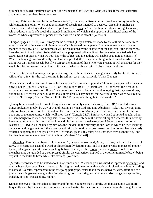of himself; or as (b) "circumcision" and "uncircumcision" for Jews and Gentiles, since those characteristics distinguish each of them from the other.

b. Irony. This term is used from the Greek *eironeia*, from *eiro*, a dissembler in speech – who says one thing while meaning another. When used as a figure of speech, not intended to deceive, "dissemble implies an assumed of artfully feigned semblance or pretense." So, irony is "a sort of humor, ridicule, or light sarcasm, which adopts a mode of speech the intended implication of which is the opposite of the literal sense of the words, as when expressions of praise are used where blame is meant." (Webster).

Dungan (pages 316-318) says: "Irony can be detected (1) by a statement made by the author: he sometimes says that certain things were said in mockery. (2) It is sometimes apparent from the tone or accent, or the manner of the speaker. (3) Sometimes it will be recognized by the character of the address: if the speaker has been dealing in that kind of dissimulation for the purpose of ridicule, it will be the easier detected. (4) The extravagance of praise, when we both know the subject and the author, will enable us to note the intent. (5) When the language was used orally, and has been printed, there may be nothing in the form of words to denote that it was an ironical speech; but if we can get the opinion of those who were present, it will assist us; for they would be able to discover in the tone of the accent what has been lost to us by distance and time.

"The scriptures contain many examples of irony, but with the rules we have given already for its detection, we will cite but a few, for the real meaning in [most] any case is not difficult." Avers Dungan.

Then he cites and quotes, and in some instances briefly comments upon, the following passages, which we cite only: 1 Kings 18:27; 1 Kings 22:15-18; Job 12:2; Judges 10:14; 1 Corinthians 4:8-13; except for Acts 2:13, upon which he comments as follows: "Of course they meant to be understood as saying that they were drunk; but being full of sweet wine would not make them drunk. They meant what we would mean when we say of a man that 'he is happy' or that "he is full of milk.' They say one thing, but mean another."

(It may be supposed that for want of any other more suitably named category, Keach (P.33) includes some things spoken feignedly, by way of trial of testing, as when God said unto Abraham: "Take now thy son, thine only son Isaac, whom thou lovest, and get thee unto the land of Moriah, and offer him there a burnt offering upon one of the mountains, which I will show thee" (Genesis 22:2). Similarly, when Lot invited angels, whom he then thought to be men, and they said, "Nay, but we will abide in the street all night," whereas they actually intended to stay with him, and deliver him and his family from the destruction of Sodom the next morning (Genesis19:1-16). Also included by him was the incident in the ministry of our Lord in which he used insulting demeanor and language to test the sincerity and faith of a foreign mother beseeching him to heal her grievously afflicted daughter, and finally said to her, "O woman, great is thy faith; be it unto thee even as thou wilt," and her daughter was made whole from that hour [Matthew 15:21-28].)

c. Metaphor. This is from two Greek words, m*eta*, beyond, or over and *pherin*, to bring, or bear in the sense of carry. In rhetoric it is used of a word or phrase literally denoting one kind of object or idea in place of another by way of suggesting a likeness or analogy between them (the ship plows the sea; a volley of oaths). A metaphor may be regarded as a compressed simile, the comparison implied in the former (a marble brow) being explicit in the latter (a brow white like marble). (Webster).

(A further word needs to be stated about *meta*, since under "*Metonomy*" it was used as representing change, and now as beyond, or over. That is because it is a highly flexible term, with a variety of related meanings according to context. Webster, represented in the foregoing paragraph, states that it means between, with, after; and as a prefix means in general along with, after, denoting (a) posteriority, succession, and (b) change, transportation, transfer, beyond, transcending, higher.

Dungan observes: "the metaphor is briefer and far more pungent than a simile. On that account it was more frequently used by the ancients. It represents characteristics by means of a representative of the thought that is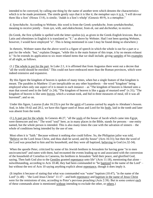intended to be conveyed, by calling one thing by the name of another term which denotes the characteristics which is to be made prominent. The simile gently says that it is like it; the metaphor says it is it. 'I will devour them like a lion' (Hosea 13:8), is simile; 'Judah is a lion's whelp' (Genesis 40:9), is a metaphor."

d. *Synechdoche*. According to Webster, this word is from the Greek *synekdoche*, from *synekdechesthai*, meaning to receive jointly – from *syn*, with, and *ekdeschestai*, from *ek*, out and *dechesthai*, to receive.

(In Greek, the first syllable is spelled with the letter upsilon (u), as given in the Greek-English lexicons. But in Latin and oftentimes in English it is translated as "Y," as above by Webster. Had I not been quoting Webster, however, I would have employed "u". This is being mentioned in case I may be found doing so elsewhere.)

In rhetoric, Webster states that the above word is a figure of speech in which the whole is out for a part or a part for the whole. "but," explains Dungan, "while this is the main feature of this trope, it by no means exhaust it." So he extends its application to six more related items that we shall include, giving samples of his examples of all eight, as follows.

(1.) The whole is put for the part. In Luke 2:1, it is affirmed that from Augustus there went out a decree that "all the world should be enrolled." This could not have embraced more than the Roman provinces, which were indeed extensive and expansive.

By this figure the kingdom of heaven is spoken of many times, when but a single feature of that kingdom is meant. The parables in Matthew 13 are inexplicable on any other hypothesis – the word "kingdom" being employed when only one aspect of it is meant in each instance – as "The kingdom of heaven is likened unto a man that sowed seed in the field" (v.24); "The kingdom of heaven is like a grain of mustard seed" (v.31); "The kingdom of heaven is like unto leaven, which a woman took, and hid in three measures of meal, till it was all leavened"; and so on.

Under this figure, Lazarus (Luke 16:23) is put for the spirit of Lazarus carried by angels to Abraham's bosom. And, in John 19:42 and 20:2, we have this figure used of Jesus and Lord for his body, laid in the tomb and later was absent from the tomb.

(2.) A part put for the whole. In Genesis 46:27, "all the souls of the house of Jacob which came into Egypt, were threescore and ten." The word "soul" here, as in many places in the Bible, stands for persons – one entity named, but the whole person is intended. This is also many times the case with the salvation of sinners – the whole of conditions being intended by the use of one.

Most often it is "faith." Because without it nothing else could follow. So, the Philippian jailor was told, "Believe on the Lord Jesus Christ, and thou shalt be saved, and thy house" (Acts 16:31); but then the word of the Lord was preached to him and his household, and they were all baptized, believing in God (vs.32-34).

When the apostle Peter, criticized by some of his Jewish brethren in Jerusalem for having gone "in to men uncircumcised" and eaten with them, had recounted the events leading up to and associated with the conversion of the household of Cornelius in Caeserea, his brethren in Jerusalem "held their peace, and glorified God, saying, Then hath God also to the Gentiles granted repentance unto life" (Acts 11:18), mentioning that alone – notwithstanding, according to Acts 10:48, they had been commanded to "be baptized in the name of the Lord" – but without the text of Acts 10 saying anything explicit about repentance, though it does imply it.

(It implies it because of stating that what was commanded was "water" baptism (10:47), "in the name of the Lord" (v.48) – "the Lord Jesus Christ" 11:17 – and both repentance and baptism in the name of Jesus Christ were for the remissions of sins, according to Peter's previous preaching (Acts 2:38). But in some context each of these commands alone is mentioned without intending to exclude the other, or others.)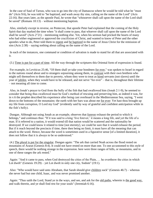In the case of Saul of Tarsus, who was to go into the city of Damascus where he would be told what he "must do" (Acts 9:6), he was told to "be baptized, and wash away thy sins, calling on the name of the Lord" (Acts 22:16). But years later, as the apostle Paul, he wrote that "whosoever shall call upon the name of the Lord shall be saved" (Romans 10:13) – without mentioning baptism.

Also, similarly except in reverse, on Pentecost, that apostle Peter had explained that the coming of the Holy Spirit that day marked the time when "it shall come to pass, that whoever shall call upon the name of the Lord shall be saved" (Acts 2"21) – mentioning nothing else. Yet, when his sermon had pricked the hearts of many who had either engineered or approved the crucifixion of Christ, and wanted to know of Peter and the other apostles what to do, Peter told them to repent and be baptized in the name of Jesus Christ for the remission of sins (Acts 2:38) – saying nothing about calling on the name of the Lord.

In each of the instances, one command or condition of salvation is made to stand for all that are associated with it.

(3.) Time is put for a part of time. All the way through the scriptures this Oriental form of expression is found.

For example, in Leviticus 25:46, "Of them shall ye take your bondmen for ever," was spoken to Israel in regard to the nations round about and to strangers sojourning among them, in contrast with their own brethren who might sell themselves to them due to poverty, whom they were to treat as hired servants (not slaves) until the year of jubilee, when they would have to be released, and not serve "for ever" – that is, throughout their lifetime – not meaning all time to come.

Also, in Jonah's prayer to God from the belly of the fish that had swallowed him (Jonah 2:1-9), he seemed to consider that being thus swallowed must be God's method of rescuing and preserving him, as indeed it was, for in v.6 the prophet described his experience after being cast overboard in the Mediterranean Sea, saying, "I went down to the bottoms of the mountains: the earth with her bars was about me for ever: Yet hast thou brought up my life from corruption, O Lord my God" (evidently said by way of grateful and confident anticipation while in the fish's belly).

Dungan. Although not using Jonah as an example, observes that forever exhaust the period to which it belongs," and continues thus: "If it was said to a king 'live forever,' it means a long life, and yet the life of a man. If it referred to a nation, it would extend till that nation would be scattered and the nationality be destroyed. If we could know it related to time [not eternity], we could be sure that it would exhaust the period. But if it reach beyond the precincts if time, there then being no limit, it must have all the meaning that can attach to the word. Hence, because the word is sometimes used in a figurative sense [of a limited duration], it does not follow that it is always to be so understood."

(4.) The plural is put for the singular. Dungan again: "The ark that carried Noah across the flood rested on mountains of Ararat (Genesis 8:4). It could not have rested on more than one. To one accustomed to this style of speech, there would be nothing strange in the expression. here were three ranges of hills, or mountains, and in one of these ranges the ark rested."

Again: "And it came to pass, when God destroyed the cities of the Plain, … he overthrew the cities in which Lot dwelt" (Genesis 19:29) – yet Lot dwelt in only one city, Sodom" (19:1).

Also: "Who would have said unto Abraham, that Sarah should give children suck" (Genesis 46:7) – whereas she never had but one child, Isaac, and was never promised another.

Again: "Thus saith the Lord, Stand ye in the ways, and see, and ask for the old paths, wherein is the good way, and walk therein, and ye shall find rest for your souls" (Jeremiah 6:16).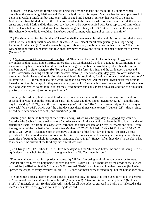Dungan: "This may account for the singular being used by one apostle and the plural by another, when describing the same thing. Matthew and Mark usually differ in this respect. Matthew has two men possessed of demons in Gadara; Mark has but one. Mark tells of one blind beggar in Jericho that wished to be healed; Matthew has two. Mark describes the ride into Jerusalem to be on a colt whereon man never sat; Matthew has an ass and a colt. Mark and Matthew both say that they who were crucified with Jesus reproached him; while Luke declares that one defended his claims by rebuking the other (Luke 23:39-43). To say that they reproached Him when only one did it, would not have been out of harmony with general custom at that time."

(5.) The singular put for the plural. (a) "Therefore shall a man leave his father and his mother, and shall cleave unto his wife: and they shall be one flesh" (Genesis 2:24) – meant for all men generally, marriage being instituted for the race. (b) "Let the waters bring forth abundantly the living creature that hath life, Which the waters brought forth abundantly, and fowl that they may fly above the earth in the open firmament of heaven (Genesis 1:21).

(6.) A definite is put for an indefinite number. (a) "Howbeit in the church I had rather speak five words with my understanding, that I might instruct others also, than ten thousand words in a tongue" (I Corinthians 14:19) – meaning a very few words that would instruct versus a great number that would not, rather than the precise numbers stated in either category, (b) "For every beast of the forest is mine, and the cattle upon a thousand hills" – obviously meaning on all the hills, however many. (c) The words hour, day, year, are often used with the same latitude. Jesus said to his disciples the night of his crucifixion, "could ye not watch with me one hour?" (Matthew 26:40) – meaning just a little while. Dungan also remarks: "All the antediluvian patriarchs seem to have died on their birthdays, for they were so many years old. The same is true of the men who lived this side of the flood. And yet we do not think but that they lived months and days, more or less, [in addition to or less than precisely so many years] just as people do now."

Similarly, the ordinals, first, second, third, and so on were used among the ancients in ways we would not. Jesus said he was to be in the heart of the earth "three days and three nights" (Matthew 12:40); "and the third day be raised up" (16:21); "and the third day rise again" Luke 24:7,46). "He was risen early on the first day of the week" (Mark 16:8), which was "the third day since these things came to pass" (Luke 24:21) – that is, since he had been "condemned to death, and crucified" (v.20).

Counting back from the first day of the week (Sunday), which was the third day, the second day would be Saturday (the Sabbath), and the day before Saturday (namely Friday) would have been the first day – the day of crucifixion itself. For, from the Gospels we learn that the burial was late on Friday ("Preparation" day). Before the beginning of the Sabbath after sunset. (See Matthew 27:57 - 28:6; Mark 15:42 - 16:11; Luke 23:50 - 24:7; John 19:31 - 20:18.) That made him in the grave a short part of the first "day and night" (the first 24-hour period), all of the second, and a few hours of the third – references to the beginning and ending periods being examples of putting the whole for a part, as mentioned above in (1.). Hence, "after three days" in the above has to mean after the arrival of the third day, not after it was over.

(See 1 Kings 12:5, 12; Esther 4:16; 5:1, for "three days" and the "third day" before the end of it, being used as equivalents – the whole for the part – a long way back in Old Testament history.)

(7) A general name is put for a particular name. (a) "all flesh" referring to all of human beings, as follows: "And let all flesh bless his holy name for ever and ever" (Psalm 145:1). "Therefore by the deeds of the law shall no flesh be justified in his sight" (Romans 3:29). Animal "flesh" is not intended in either instance. (b) Again, "preach the gospel to every creature" (Mark 16:15), does not mean every created thing, but the human race only.

(8) Sometimes a special name or word is put for a general one. (a) "Bread" is often used for "food" in general, as "Command that these stones become bread" (Matthew 4:3); "Give us this day our daily bread" (Matthew 6:11). (b) In Mark 16:16, "He that believeth" stands for all who believe, etc. And in Psalm 1:1, "Blessed is the man" means blessed are all who walk as being described.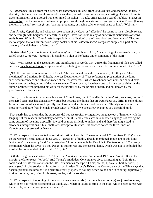e. *Catachresis*. This is from the Greek word *katcahresis*, misuse, from *kata*, against, and *chresthai*, to use. In rhetoric, it is the wrong use of one word for another (mutual for common); also, a wresting of a word from its true signification, as in a forced trope, or mixed metaphor ("To take arms against a sea of troubles." Shak.). In philosophy, it is the use of a word in an improper form through mistake as to its origin, as *calcariferous* [having the form of a spur] for *calciferous* [bearing, producing, or having calcite, or carbonate of lime]. (Webster.)

*Catachresis*, Hyperbole, and Allegory, are spoken of by Keach as "affection" he seems to mean closely related and seemingly with heightened intensity, as usage I have not found in any of our current dictionaries of word study books. With him, *Catachresis* is especially an "affection" of the "metaphor" and "*metonomy*." That leads me to suspect that our current word-study books treat his "*catachrestical*" categories simply as a part of the category of which they are "affections."

He states that "by a *catachreatical*, *metonomny*" in 1 Corinthians 11:10, "the covering of a woman's head, is called *exousia*, 'power,' (because it is passively a sign of her being under command of the man)."

Also, "With respect to the acceptation and signification of words, Lev. 26:30, the fragments of idols are called carcases, by a hard metaphor [emphasis added], alluding to the carcases of men before mentioned, Deut.16:7."

(NOTE: I can see no relation of Deut.16:7 to "the carcases of men afore mentioned," for they are "afore mentioned" in Leviticus 26:30 itself, whereas Deuteronomy 16:7 has reference to preparation of the lamb sacrificed in connection with observance of the Passover feast, which Keach mentions next, and should have been placed at the beginning of that new sentence. The error may have been due to inadvertence either by the author, or those who prepared his work for the printer, or by the printer himself, and not known by the proofreaders to be such.)

Keach, in his introductory paragraph, states of *Catachresis*, that it "is called in Latin *abusio*, an abuse, not as if the sacred scriptures had abused any words, but because the things that are *catachrestical*, differ in some things from the custom of speaking tropically, and have a harder utterance and coherence. The style of scripture is most holy, and pure from blemish, or indecency, of which we take a few examples of a threefold kind."

That nearly has to mean that the scriptures did not use tropical or figurative language out of harmony with the language of the readers immediately addressed, but if literally translated into another language not having the same custom of speaking tropically, it would be more difficult to understand and therefore might lead to erroneous interpretations. This I shall later attempt to illustrate. But now we notice the three kinds of *Catachresis* as presented by Keach.

"1. With respect to the acceptation and signification of words." The examples of 1 Corinthians 11:10 ("power" on the woman's head) and Leviticus 26:30 ("carcases" of idols), already mentioned above, are of this kind: "*catachresical metonomy*" and "hare metaphor." Another example by Keach is in Deuteronomy 16:7, already mentioned, where he says: "To boil *bashal* is put for roasting the paschal lamb, which was not to be boiled, but roasted, by command of God, Exodus 12:9, etc."

Both the King James Version of 1611 and the American Standard Version of 1901, read "roast." But in the margin, the latter reads, "or boil." And Young's Analytical Concordance gives its meaning as "boil, ripen, cook," and lists its translations in the Old Testament as "be ripe," 1 time; seethe, 1; bake, 2; boil, 6; roast, 2; seethe (sod), 11; be sodden, 4; bring forth ripe, 1. Also, Strong's Exhaustive Concordance of the Bible, says that *bashal*, pronounced bawshal' is a primitive root; properly to boil up; hence, to be done in cooking; figuratively, to ripen: -- bake, boil, bring forth, roast, seethe, sod (be sodden).

"2. With respect to the joining of the words when some words (in a metaphor especially) are joined together, which seem not well to correspond, as Exod. 5:21, where it is said to stink in the eyes, which better agrees with the nostrils, which denote great adverseness."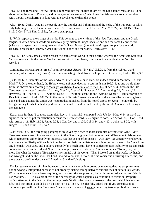(NOTE" The foregoing Hebrew idiom is rendered into the English idiom by the King James Version as "to be abhorred in the eyes of Pharaoh, and in the eyes of his servants," which we English readers are comfortable with, though the abhorring is done with the psyche rather then the eyes.)

Also, "Exod. 20:18, 'And all the people saw the thunder and lightnings, and the noise of the trumpet," of which only lightning, is seen, the others are heard. So to see a voice, Rev. 1:12. See Matt.7:21,22, and 10:15, 1 Tim. 6:19, 2 Cor. 5:7, 2 Tim. 2:19&c, for more examples.)

3. "With respect to the change of words. This belongs to the writings of the New Testament, and the Greek tongue, in which certain words are used to signify different things, because one and the same Hebrew word, (whence that speech was taken), may so signify. Thus *Aiones*, (*aiones) secula* ages, are put for the world, Hab.1:6, because the Hebrew *olam* signifies both ages and the world, Ecclesiastes 3:11."

(NOTE: The King James Version reads: "he hath set the world in their heart," whereas the American Standard Version renders it in the text as "he hath set eternity in their heart," but states in a marginal note, "or, the world.")

Continuing, *Dorean*, *gratis* 'freely' is put for *maten*, *frustra*, 'in vain,' Gal.2:21, from the Hebrew word *chinnam*, which signifies (in vain) as it is contradistinguished, from the hoped effect, or event, Psalm. 109:2,3."

(COMMENT: Examples of the Greek adverb *maten*, vainly, or in vain, are indeed found in Matthew 15:9 and Mark 7:7. On the other hand, the Hebrew word *chinnam* does not occur in Psalm 109:2-3, as one would think from the above; but according to Young's Analytical Concordance to the Bible, it occurs 32 times in the Old Testament, translated "causeless," 1 time; "free,"1; "freely" 1; "innocent," 2; "for nothing," 1; "in vain," 2 (Proverbs 1:17; Ezekiel 6:10); "without cause," 15; "without cost," 1; and "without wages," 1. But according to Keach it is used in Psalm 109:2-3 in the sense of "in vain" inasmuch as what is there described as having been done and said against the writer was "countradistinguished, from the hoped effect, or event" – evidently by being contrary to what he had hoped for and believed to be deserved – not by the word *chinnam* itself being in the passage!)

Keach says further: "See more examples, Rev 14:8, and 18:3, compared with Job 6:4, Matt, 6:34. A word that signifies malice, is put for affliction because the Hebrew word *ra'ah* signifies both. See Amos 3:6, 1 Cor. 15:54, with Amos 1:11, Heb. 11:31, James 2:25, 1 Cor. 2:6, and 14:20, Col. 3:14, and 4:12, 1 John 4:18-20, with Judges 9:16, and Prov. 11:3, &c."

COMMENT: All the foregoing paragraphs are given by Keach as more examples of where the Greek New Testament uses a word in a sense not usual to the Greek language, but because the Old Testament Hebrew word which represents either directly or indirectly has that as one of its senses – with New Testament writers having to assume a familiarity with such fact on the part of their immediate readers, in order for its use to be "pure from any blemish." As stated, and I believe correctly by Keach. But I have to confess to utter inability to see any such connection between the old and New Testament passages cited above as "more examples." To me, they are more like what the writer of Ecclesiastes says in 2:21 of his works; "Then I looked on all the works my hands had wrought, and on the labor that I had labored to do; and, behold, all was vanity and a striving after wind; and there was no profit under the sun" American Standard Version).

The last two sentences of mine, however, are in no wise to be interpreted as meaning that the scriptures may not be wrongly interpreted because of not properly distinguishing between various uses of certain key words. With my own ears I once heard a quite good man and sincere preacher, but with limited education, confidently use Matthew 7:13-14 as a proof text of the necessity of water baptism as a condition to salvation. Properly calling attention to the fact that the passage reads "strait is the gate, and narrow is the way, which leadeth unto life," and that strait is spelled s-t-r-a-i-t not "s-t-r-a-i-g-h-t," he gleefully added that if you consult a good dictionary you will find that "s-t-r-a-i-t" means a narrow neck of water connecting two larger bodies of water,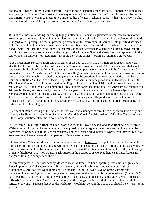and that this makes it refer to water baptism. That was notwithstanding the word "strait" in that text is next used as a synonym of "narrow," and does not have any reference to water than "narrow" does. Moreover, the reason that a narrow neck of water connecting two larger bodies of water is called a "strait" is that it is narrow – rather than because it is water! The good brother's use of "strait" was obviously a *Catcshresis*.

But nobody knows everything, and being highly skilled in one area is no guarantee of competence in another. An older preacher once told me of another older preacher highly skilled and masterful as a defender of the faith in regard to first principles, who, in preaching a sermon on the conversion of Cornelius, eloquently discoursed in his introduction about what a great musician he must have been – "a centurion of the band called the Italian band" (Acts 10:1)! But the word "band" in that translation had reference to a band of soldiers (*speira*, cohort), not of musicians, and is so indicated in the margin of the American Standard Version and incorporated into the text of later translations – or "Regiment," as in the New King James Version. So, another *Catachresis*.

But a much more serious Catachresis than either of the above, which had their humorous aspects and were strictly local, was involved in the historical Christological controversy of early Christian centuries that shook and even split the church world -wide, causing the Roman emperor Constantine to call the first ecumenical council at Nicea in Asia Minor, in A.D. 321, and resulting in lingering aspects of translation controversy even to our day over whether Christ as God's *monogenes* Son is to be described in translation as God's "only begotten Son" or "only Son," and with even Isaac being called Abraham's "only begotten son" in Hebrews 11:17 of the King James Version of 1611 and retained in the English Revised Version of 1881 and the American Standard Version of 1901, although he was neither his "only" nor his "only begotten" son – for Abraham had another son, Ishmael by Hagar, and six more by Katurah. That suggest that there is an aspect of the Greek adjective *monogenes* that neither of the above carry, which is "only one of a kind," and which both Jesus and Isaac were. It is also used of an only son or relative of the kind of his or her parent. Hugo McCord's New Testament Translation (1988), in recognition of that, accurately renders it of Christ and Isaac as "unique," each being the only example of his category.

(Clement of Rome, writing of the fabled Phoenix, called it a *monogenes* bird, there supposedly being only one of its species living at a given time. See Arndt & Gingrich, Greek-English Lexicon of the New Testament and Other Early Christian Literature; also 1 Clement 25:2).

f. Hyperbole. This word is from the Greek word *huper*, above, over, beyond, and *bole*, from *bolein*, to throw. Webster says: "A figure of speech in which the expression is an exaggeration of the meaning intended to be conveyed, of or by which things are represented as much greater or less, better or worse, than they really are; a statement which exaggerates through passion or intense excitement."

Dungan states: "There need be no rule for the interpretation of hyperbole, except to keep before the mind the purpose of the author, and the language will interpret itself. It is simply an intensification, and not used with any intent to misrepresent the facts in the case. Of course, to make these statements literal will find the Bible guilty of many falsehoods; but when we treat such figures in the Scriptures as we treat them elsewhere, there is no danger of failing to comprehend them."

A few examples: (a) Ten spies sent by Moses to view the Promised Land reporting: "the cities are great and fenced up to heaven" (Deuteronomy 1:28); conversely, of their inhabitants, "and were in our sight as grasshoppers. And so were we in their sight" (Numbers 13:33). (b) "God gave Solomon wisdom and understanding exceeding much, and largeness of heart, even as the sand that is on the seashore." (1 Kings 5:29). (c) The apostle Paul saying, "Unto me, who am less than the least of all saints, is this grace given" (Ephesians 3:8). (d) Also John writing: "And there are so many other things that Jesus did, the which if they should be written every one, I suppose that even the world itself would not contain the books that should be written" (John 21:21).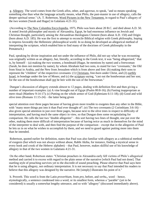g. Allegory. The word comes from the Greek *allos*, other, and *agoreuo*, to speak, "and so means speaking something else than what the language actually means, what Philo, the past-master in use of allegory, calls the deeper spiritual sense." (A. T. Robertson, Word Pictures in the New Testament, in regard to Paul's allegory of the two women [Sarah and Hagar] in Galatians 4:21-31).

(According to The New Columbia Encyclopedia, 1975, Philo was born about 20 B.C. and died about A.D. 50. A noted Jewish philosopher and mystic of Alexandria, Egypt, he had enormous influence on Jewish and Christian thought, particularly among the Alexandrian theologians Clement (born about A.D. 150) and Origin (born about A.D. 185). He was the first to attempt to reconcile Biblical religion with Greek philosophy, hoping to impress favorably the Hellenistic philosophical world. In so doing he developed an allegorical method of interpreting the scripture, which enabled him to find many of the doctrines of Greek philosophy in the Pentateuch.)

Paul, speaking by divine inspiration and not under the influence of Philo, did not say what he was recounting was originally written as an allegory, but, literally, according to the Greek text, it was "being allegorized," that is, by himself  $-$  (a) making the two women, a bondmaid (Hagar, he mentions by name) and a freewoman (Sarah, he does not mention by name), by whom Abraham had two sons, to stand for two "covenants," the Old from Sinai in Arabia, and the New from Jerusalem which is from above and free: (b) making their sons to represent the "children" of the respective covenants: (1) Christians, free-born under Christ, and (2) earthly Israel, in bondage under the law of Moses; and (c) the scripture saying, "cast out the bondwoman and her son; for the son of the bondwoman shall not be heir with the son of the freewoman."

Dungan's discussion of allegory extends almost to 12 pages, dealing with definition first and then giving a number of important examples: (a) A vine brought out of Egypt (Psalm 80:8-16); (b) Fasting inappropriate as mere ritual (Matthew 9:14-17); (c) Putting on the whole armor of God (Ephesians 6:11-18); (d) Good and wild olive trees (Romans  $11:15-24$ ) – the latter being given

special attention over three pages because of having given more trouble to exegetes than any other in the Bible, with "many more things put into it than Paul ever thought of"; (e) The two covenants (2 Corinthians 3:6-16) – also given special attention in just over three pages, because next to the olive trees in respect to difficulty of interpretation, and having much the same object in view, so that Dungan does some recapitulating for comparison. He calls the last two "double allegories" – this sort having two lines of thought, one put over the other, making them more difficult of interpretation because of having twice as much in themselves for the mind of the interpreter to deal with, and then find the purpose of the comparison – except that in the allegories of Paul he lets us in on what he wishes to accomplish by them, and we need to guard against putting more into them than he intended.

Robertson, quoted earlier for definition, states that Paul was also familiar with allegory as a rabbinical method of exegesis (but which was not always without abuse, Rabbi Akiba, for instance, finding a mystical sense in every hook and crook of the Hebrew alphabet) – that Paul, however, makes skillful use of his knowledge of allegory in that of the two women in Galatians 4:21-31.

On the other hand, Robertson states: "Christian preachers in Alexandria early fell victims of Philo's allegorical method and carried it to excess with regard to the plain sense of the narrative [which Paul had not done]. That startling style of preaching survives yet to the discredit of sound preaching. Please observe that Paul says here that he is using allegory, not ordinary interpretation. It is not necessary to say that Paul intended his readers to believe that this allegory was designed by the narrative. He [simply] illustrates his point of it."

h. Proverb. This word is from the Latin *proverbium*, from *pro*, before, and *verbu*,, word – hence, etymologically, a sentence condensed into a word, or its smallest form, whereas a "parable" (yet to be considered) is usually a somewhat lengthy utterance, and so with "allegory" (discussed immediately above).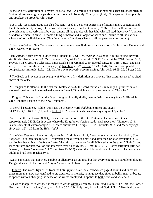Webster's first definition of "proverb" is as follows: "A profound or oracular maxim; a sage sentence; often, in Scriptural use, an enigma; a parable; a truth couched obscurely. Chiefly Bib[lical]. Now speakest thou plainly, and speakest no proverb. John 16:29."

But in Old Testament usage it is also frequently used in a context expressive of astonishment, contempt, and taunt, though the etymology of the word does not mean, as in Deuteronomy 28:37: "Thou shalt become an astonishment, a proverb, and a byword, among all the peoples whither Jehovah shall lead thee away" American Standard Version; "You will become a thing of horror and an object of scorn and ridicule to all the nations where the Lord will drive you" (New International Version). (See also all the passages cited below.)

In both the Old and New Testaments it occurs no less than 29 times, as a translation of at least four Hebrew and Greek words, as follows:

Heb. *chidah*, a cute saying, hidden thing (Habakkuk 2:6); Heb. *Mashal*. As a noun, a ruling saying, proverb, similitude (Deuteronomy 28:37); 1 Samuel 10:12; 24:13; 1 Kings 4:32; 9:17; 2 Chronicles 7"10; Psalm 69:11; Proverbs 1:1-6; 25:1\*; Ecclesiastes 12:9; Isaiah 14:4; Jeremiah 24:9; Ezekiel 12:22,23; 14:8; 18:2,3; and as a verb, to use as a similitude or ruling saying, Numbers 21:27; Ezekiel 12:23; 16:44; Gr. *Parabole*, parable, comparison, similitude, Luke 4:23; Gr. *Paroimia*, proverb, obscure saying, John 10:6; 16:25, 29; 2 Peter 2:22.

\* The Book of Proverbs is an example of Webster's first definition of a proverb "in scriptural sense," as cited above at the outset.

\*\* Dungan calls attention to the fact that Matthew 24:32 the word "parable" is in reality a "proverb" in our mode of speaking, as it is translated above in Luke 4:23, which we shall also note under "Parables".

i. Enigma. This word is from the Greek *ainigma*, literally riddle, then indistinct image. (Arndt & Gingrich, Greek-English Lexicon of the New Testament).

In the Old Testament, "riddle" translates the Hebrew word *chidah* nine times: in Judges 14:12,13,14,15,16,17,18,19; and in Ezekiel 17:2, where it is also used as a synonym of "parable".

As used in the Septuagint (LXX), the earliest translation of the Old Testament Hebrew into Greek (approximately 250 B.C.), it occurs where the King James Version reads "dark speeches" (Numbers 12:8, "astonishment" (Deuteronomy 28:37), "hard questions" (1 Kings 10:1; 2 Chronicles 9:1), and "dark sayings" (Proverbs 1:6) – all from the Heb. *chidah*.

In the New Testament it occurs only once, in 1 Corinthians 11:12, "now we see through a glass darkly ['*en ainiymati'*] but then face to face" – contracting the difference before and after the Christian revelation in its totality had been given – before and after "the faith … was once for all delivered unto the saints" (Jude 3), and inscripturated for preservation and intensive over-all study (cf. 2 Timothy 3:16-17) – after scriptural gifts had "ceased," or been "done away" (1 Corinthians 13:8-19) – after the childhood state of the church had ended and adulthood had been reached (v.11).

Keach concludes that not every parable or allegory is an enigma, but that every enigma is a parable or allegory. Dungan does not bother to treat "inigma" as a separate figure of speech.

j. Figures. The word "figures" is from the Latin *figura*, as already learned (see page 3 above) and in earlier times more than now was confined to graciousness in rhetoric, to language that gives embellishment or beauty to speech without changing the sense of the words employed. It applies to both words and sentences.

But when it applies to words, it is mostly to words within a sentence, as in Exodus 34:6, "The Lord, the Lord, a God merciful and gracious," etc., or in Isaiah 6:3 "Holy, holy, holy is the Lord God of Host." Keach also cites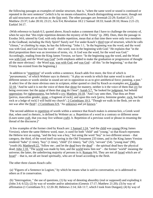the following passages as examples of similar structure, that is, "when the same word or sound is continued or repeated in the next sentence" (which is by no means exhaustive, Keach distinguishing seven more, though not all said structures are as obvious as the first one). The other passages are Jeremiah 22:29; Ezekiel 21:27; Matthew 23:37; Luke 28:10; 23:21; Acts 9:4; Revelation 18:2 2 Samuel 18:33; Isaiah 28:10; Hosea 2:21-23; Ezekiel 34:17.

(With reference to Isaiah 6:3, quoted above, Keach makes a comment that I have to challenge the certainty of, when he says that "this triple repetition denotes the mystery of the Trinity" (p. 200). Does, then the passage in Exodus 34:6, uttered by God, with only double repetition, mean that at that time there were only two members in the Godhead, including the Holy Spirit? Surely not! For under Keach's third type of structure, which he calls "climax," or climbing by steps, he has the following: "John 1:1, 'In the beginning was the word, and the word was with God, and God was the word' – this word, was in the beginning with God." He explains that "in the third proposition there was an inversion of terms, viz. A God was the word, for the word was God." Accordingly, reading from the King James Version, we have: "In the beginning was the word, and the Word was with God, and the Word was God" [with emphasis added to make the graduation or progression of thought all the more obvious] – the Word was, was with God, and was God – all this "in the beginning," so that the Trinity has existed from the beginning.)

In addition to "repetition" of words within a sentence, Keach adds five more, the first of which is "*paranomasia*," of which Webster says in rhetoric: "A play on words in which that same word is used in different senses or words similar in sound are set in opposition so as to give antithetical force; punning, a pun." A select few of the more obvious ones in scripture, either quoted or cited by Keach as examples are: Exodus 32:18, "And he said it is not the voice of them that shout for mastery, neither is it the voice of them that cry for being overcome: but the noise of them that sing do I hear"; Isaiah 5:7, "he looked for judgment, but behold oppression; for righteousness, but behold a cry; Matthew 16:18. "And I say unto thee, That thou art Peter [*petros*, masculine gender, stone, a fragment of rock], and upon this rock [*petra*, feminine gender, rock, but bed rock or a ledge of rock] I will build my church"; 2 Corinthians 10:3, "Though we walk in the flesh, yet we do not war after the flesh"; 2 Corinthians 6:9, "As unknown and yet known."

The second addition to repetition of words within a sentence that Keach makes is *antanaclais*, a Greek word that, when used in rhetoric, is defined by Webster as: a. Repetition of a word in a contrary or different sense (Learn some craft, that you may live without craft). b. Repetition of a previous word or phrase in resuming the thread of the discourse.)"

A few examples of the former cited by Keach are: 1 Samuel 1:24, "and the child was young (King James Version), where the same Hebrew word, *naar*, is used for both "child" and "young," so that Keach represents the Hebrew text as saying, "and the boy was a boy," but using the word "boy" in two different senses – that category, the third, of the word itself occurring in the Old Testament 233 times, and in the King James Version rendered "babe" (1 time), "boy" (1 time), "child" (51 times), "lad" (32), "servant" (54). "young man" (90), "youth (4); Matthew8:22, "follow me ; and let the dead bury the dead" – the spiritual dead bury the physical dead; John 1:10. "The world was made by him, and the world knew him not" – the former "world" meaning the universe; the latter, the unbelieving majority of persons in it; Romans 9:6, They are not all Israel which are of Israel" – that is, not all are Israel spiritually, who are of Israel according to the flesh.

The other three classes Keach calls:

(a) "Figures of a Sentence in Logism," by which he means what is said in conversation, or is addressed to others as if in conservation.

(b) "Interrogation, " the use of questions, (1) by way of denoting absurdity (real or supposed) and exploding it (John 3:4; 6:52); (2) by way of wonder and/or admiration (Genesis 17:17; Matthew 21:20); (3) by way of affirmation (1 Corinthians 9:1; 12:20-30; Hebrews 2:14; Job 11:7, which I took from Dungan); (4) by way of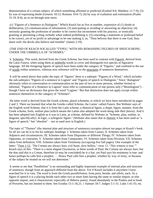demonstration of a certain subject, of which something affirmed or predicted (Ezekiel 8:6; Matthew 11:7-9); (5) by was of expressing doubt (Genesis 18:12; Romans 10:6-7); (6) by way of exaltation and extenuation (Psalm 31:19; 8:4); an so on through nine more.

(c) "Figures of a Sentence in Dialogism." Which Keach list as five in number, expressive of (1) doubt or deliberation; (2) communication of information; (3) anticipating or avoiding or answering an objection; (4) seriously granting the profession of another to be correct but inconsistent with his practice, or ironically granting or permitting a thing verbally when indeed prohibiting it; (5) conceding a statement or professed belief to be correct, yet of no profit or advantage to be one making it, as, "Thou belivest that there is one God, thou doest well; the devils also believe and tremble" (James 2:19).

## (THE END OF KEACH SOCALLED "TYPES," WITH HIS REMAINING FIGURES OF SPEECH BEING UNDER THE UMBRELLA OF "SCHEMES."

k. Schemes. This word, derived from the Greek *Schema*, has been used in contrast with Figures, derived from the Latin *Futura*, when using them as umbrella words to cover and distinguish two species of figurative language. All the foregoing figures of speech have been under the category of "Figures," and confined to the use of words within sentences, whereas now reference will be to the structures of sentences themselves.

It will be noted above that under the topic of "figures" there is a subtopic "Figures of a Word," which includes the sub-subtopics "Figures of a sentence in Logism" and "Figures of speech in Dialogism." Since "dialogism" obviously refers to conversation or communication on the part of two or more persons, whether formal or informal, "Figures of a Sentence in Logism" must refer to communication of one person only ("Monologism") – though I have no dictionary that gives the word "Logism." But that distinction does not apply except within sentences themselves in the category of "Schemes".

He latter word is derived from the Greek *schema*, plural *schemata*, to which we have been introduced on pages 2 and 3. There we learned that what the Greeks called *Schema*, the Latins' called *Futura*. But Webster says of the English word Scheme, that it is from the Latin *schema*, a rhetorical figure, a shape, figure, manner, from the Greek *schema*, form, outline plan (which means the Latins also adopted the word along side their *futura*). And it has been adopted into English as it was in Latin, as *schema*, defined by Webster as "Scheme, plan, outline, or diagram; specifi[cally]. In logic, a syllogistic figure." (Webster also states that in rhetoric it has been used as "a figure of speech," but "obsolete" – not so used now in English.)

The topic of "Themes" (the internal plan and structure of sentences) occupies almost ten pages in Keach's book. So all we can do is to list his subtopic headings: I. Schemes taken from Causes; II. Schemes taken from Adjuncts and circumstances; III. Schemes taken from Disparates or different Things; IV. Schemes taken from Opposites, or contraries; V. Schemes taken from Comparates; VI. Schemes taken from Division; VII. Schemes taken from definition; VIII. Schemes taken from Testimony (occupying five full pages). One example of the latter: "Titus 1:12, 'The Cretans are always liars, evil beast, slow bellies,' verse 13, 'This witness is true.'" Keach says of this: "There is a most elegant Oxymoron, in these words of Paul; the Cretans are always liars; but the that said this is a Cretan, therefore (it may be concluded) he is a liar; yet Paul says his testimony is true: and hence perhaps he calls him a prophet; … Hence Paul calls him a prophet, whether by way of irony, or because of the subject he treated on we will not determine."

It seems to me that "Parallelism" is an outstanding and highly important example of internal plan and structure of sentences, though from an approach different from the above. Yet if Keach includes it anywhere I have searched for it in vain. The word is from the Greek *parallelismos*, from *para*, beside, and *allelo*, each. As a figure of speech it is a placing beside each other two or more lines having the same or similar import, or else opposite import, and is characteristic especially of Hebrew poetry, found abundantly in the Psalms and in book of Proverbs, but not limited to them. See Exodus 15:1-18,21; 1 Samuel 18:7; Judges 5:1-31; Luke 1:41-55; etc.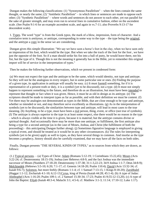Dungan makes the following classifications: (1) "Synonymous Parallelism" – when the lines contain the same thought, or nearly the same; (2) "Antithetic Parallelism" – in which lines or sentences are made to oppose each other; (3) "Synthetic Parallelism" – where words and sentences do not answer to each other, yet run parallel for the sake of greater strength, and may even run to several lines in cumulative fashion, either on the ascendent scale. (See Psalm 9:1-6 for an example ascendent scale, and again in vs.7-11; also Proverbs 9:13-17 for descendent scale).

1. Types. The word "type" is from the Greek *typos*, the mark of a blow, impression, form of character. And a correlative term is *antityous*, or antitype, corresponding in some way to the type – the type being the original, and the antitype a copy in the sense we are considering.

Dungan gives this simple illustration: "We say we have seen a horse's foot in the clay, when we have seen only an impression of his foot, which would be the type. But when we take the track of the foot for the foot , we have just the opposite of the foot. So if a man should strike his fist into a ball of putty, he would leave there, not his fist, but the type of it. Though this is not the meaning it generally has in the Bible, yet to remember this original import will be of service in the interpretation of types."

Then he makes the following further observations, which we present in condensed form:

(a) We must not expect the type and the antitype to be the same, which would identity, not type and antitype. So they will not be the analogous in every respect, but in some particular one or ones. (b) Finding the purpose of a given type, its application in antitype will usually be easy. (c) It must foretell something, for if it is representative of a present truth or duty, it is a symbol (yet to be discussed), not a type. (d) It must not simply happen to represent something in the future, and therefore do as an illustration, but must have been intended to represent that thought or fact when it was given. Hence, it must be as old in design as its antitype. (e) The scriptures should be made to interpret types as far as possible, and with their definition we must be content. (f) Yet there may be analogies not demonstrated as types in the Bible, that are close enough to be type and antitype, whether so intended or not, and may therefore serve excellently as illustrations. (g) As in the interpretation of symbols (yet to be discussed), the similarities between type and antitype, will lead in most cases to the true meaning. (h) Anything, to be a type, must have been a real person, thing, event, or office (not true of symbols). (I) The antitype is always superior to the type in at least some respect, else there would be no reason in the type – which is always visible at the time it is given, because it is material; but the antitype contains divine or spiritual thought. And occasionally there may be more than one antitype, or fulfillment, the first antitype also being a type for a second antitype (as in the case of Moses, Joshua, and Christ (the fulfillment of both the proceeding) – this anticipating Dungan further along). (j) Sometimes figurative language is employed in giving a typical event, and should be treated as it would be in any other circumstances. (k) The rules for interpreting symbols (yet to be given) apply as well to types, as they have several things in common. And insofar as the type becomes a prophecy, history should also be carefully examined, that we may have all the facts on both sides.

Finally, Dungan presents "THE SEVERAL KINDS OF TYPES," as to sources from which they are drawn, as follows:

(1.) Typical persons. – (a) Types of Christ: Adam (Romans 5:12-19; 1 Corinthians 15:22,45); Moses (Acts 3:22-24; cf. Deuteronomy 18:15-19); Joshua (see Hebrews 4:8-9, and the fact Joshua was the immediate successor of Moses (Numbers 27:18-20; Deuteronomy 1:37-38; 31:1-3,22-23; 34:9 Joshua 1:1-7; Deut.34:8-9); Melchisedek (Hebrews 5:5-10; 6:20; 7:1-17; cf. Genesis 14:18-20; Psalm 110:4); David (Acts 13:32-34; cf. Isaiah 9:6-7); Solomon, but more feebly (Romans 1:1-4; cf. 1 Samuel 7:13-15; 1 Kings 8:18-20); Zarubbalel (Haggai 1:1-12; Zechariah 4:1-10; 6;12-13;Cyrus, king of Persia (Isaiah 44:28; 45:1-4). (b) A type of Judas: Ahithophel (Acts 1:16-20; Psalm 109:1; cf. 2 Samuel 15:30-34; 17:23; Psalm 41:9;55:12-13,20). (c) A type of John the Baptist: Elijah (Isaiah 40:3-4; Malachi 3:1; 4:5-6; cf. Matthew 3:1-3; 11:14; 17:10-12; Luke 1:17).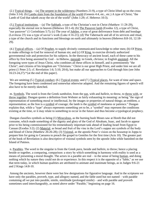(2.) Typical things.  $-$  (a) The serpent in the wilderness (Numbers 21:9), a type of Christ lifted up on the cross (John 3:14). (b) Lambs slain from the foundation of the world (Genesis 4:4, etc., etc.) A type of Christ; "the Lamb of God that taketh away the sin of the world" (John 1:29; cf. Hebrews 10:3).

(3.) Typical institutions. – (a) The Sabbath, a type of the Christian's rest in Christ (Matthew 11:28-29), especially the eternal rest in heaven (Hebrews 10:1-4); (b) The Passover lamb (Exodus 12), a type of Christ, "our passover" (1 Corinthians 5:7); (c) The year of Jubilee, a year of great deliverance from debt and bondage (Leviticus 25) was a type of savior's work (Luke 4:16-21); (d) The Tabernacle and all of its services and ritual, a type of the church and its functions and blessings on earth and ultimately in heaven (Hebrews 8:8-10, 12:18- 29).

(4.) Typical offices. – (a) Of Prophet, to supply divinely communicated knowledge to other men; (b) Of Priest, to make offerings to God for removal of human sin; and (c) Of King, to exercise divinely authorized governmental rule and protection for his subjects. In the theocracy of ancient Israel, each of these came to his office by first being anointed by God – in Hebrew, messiah: in Greek, *christos*; in English anointed. All the foregoing were types of Jesus Christ, who combines all these offices in himself, and is preeminently "the Christ"; and citizens of his kingdom are "Christians." Christ is our great High Priest, and under him we are all priest (1 Peter 2:5; cf. Revelation 1:6; 5:10; 20:6), but make all our approaches to God through him (see John 16:23-24,27).\*{at the end of this paper}.

We are omitting (5.) Typical conduct; (6.) Typical events; and (7.) Typical places, for want of time and space. The foregoing have been condensed and somewhat otherwise adapted. And the remaining figures of speech will also have to be merely sketched.

m. Symbols. The word is from the Greek *sumbolon*, from the sun, with and *ballein*, to throw, to throw with, or throw together. Dungan quotes a definition from Webster as fairly exhausting its meaning: as being "the sign of representation of something moral or intellectual, by the images or properties of natural things; an emblem, a representation; as the lion is a symbol of courage; the lamb is the symbol of meekness or patience." Dungan explains that, while a "type" always represents something yet to be, a "symbol" may represent the conditions existing at the time, or it may relate to something to occur in the future and thus become a typological prophecy.

Dungan classifies symbols as being (1) Miraculous, as the burning bush Moses saw at Horeb that did not consume, which made something of the dignity and glory of the God of Abraham, Isaac, and Jacob to appear prior to his being commissioned for his tremendously important task ahead of leading Israel from Egypt to Canaan (Exodus 3:2); (2) Material, as bread and fruit of the vine in the Lord's supper are symbols of the body and blood of Christ (Matthew 26:26-28); (3) Visional, as the apostle Peter's vision on the housetop in Joppa to prepare him for going to Caesarea to preach the gospel to Gentiles for the first time (Acts 10). The greater part of the book of Revelation is also descriptive of visional symbols seen by the apostle John while banished on the Island of Patmos.

n. Parables. The word in the singular is from the Greek *para*, beside and *ballein*, to throw; hence a placing beside or together, a comparing, comparison: a story by which something in harmony with reality is used as a means of presenting a moral thought. The actors in a parable are real – in the sense of being human, and doing nothing which by nature they could not do or experience. In this respect it is the opposite of a "fable," as we use that term today, in which human qualities are attributed to animate and inanimate beings, as in Judges 9:6-21 and 2 Kings 14:8-10.

Among the ancients, however there were but few designations for figurative language. And in the scriptures we have only the parables, proverb, type, and allegory named, and the fable used but not named – with parable containing all we put into parable, simile, similitude (prolonged simile) – and with parable and proverb sometimes used interchangeably, as noted above under "Parable," beginning on page 16.